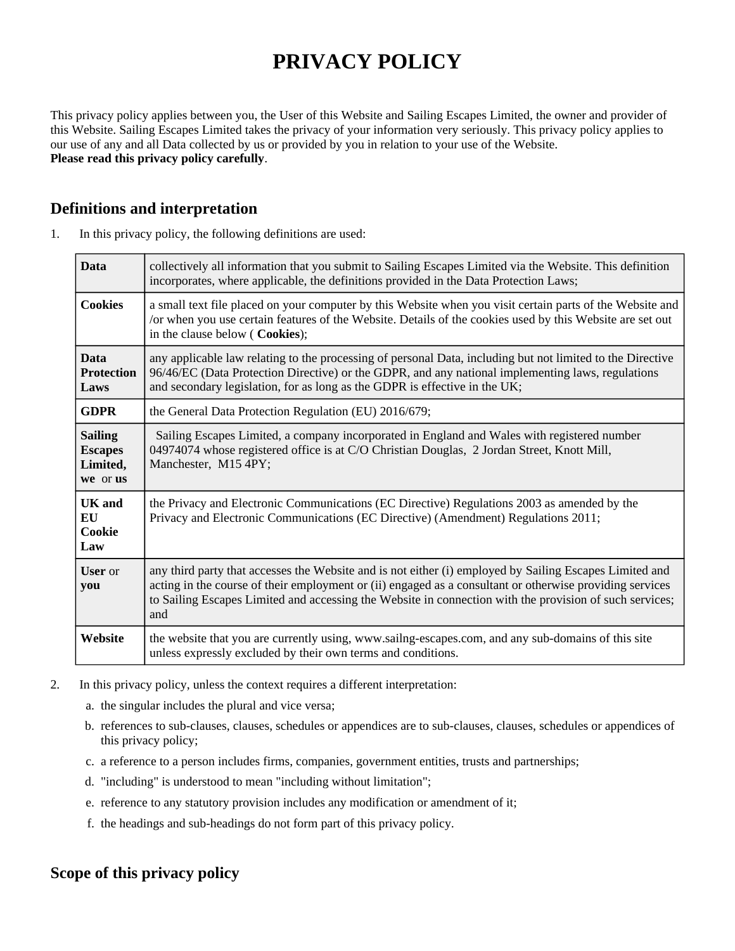# **PRIVACY POLICY**

This privacy policy applies between you, the User of this Website and Sailing Escapes Limited, the owner and provider of this Website. Sailing Escapes Limited takes the privacy of your information very seriously. This privacy policy applies to our use of any and all Data collected by us or provided by you in relation to your use of the Website. **Please read this privacy policy carefully**.

## **Definitions and interpretation**

| 1. | In this privacy policy, the following definitions are used: |
|----|-------------------------------------------------------------|
|    |                                                             |

| <b>Data</b>                                              | collectively all information that you submit to Sailing Escapes Limited via the Website. This definition<br>incorporates, where applicable, the definitions provided in the Data Protection Laws;                                                                                                                                     |  |
|----------------------------------------------------------|---------------------------------------------------------------------------------------------------------------------------------------------------------------------------------------------------------------------------------------------------------------------------------------------------------------------------------------|--|
| <b>Cookies</b>                                           | a small text file placed on your computer by this Website when you visit certain parts of the Website and<br>/or when you use certain features of the Website. Details of the cookies used by this Website are set out<br>in the clause below (Cookies);                                                                              |  |
| <b>Data</b><br><b>Protection</b><br>Laws                 | any applicable law relating to the processing of personal Data, including but not limited to the Directive<br>96/46/EC (Data Protection Directive) or the GDPR, and any national implementing laws, regulations<br>and secondary legislation, for as long as the GDPR is effective in the UK;                                         |  |
| <b>GDPR</b>                                              | the General Data Protection Regulation (EU) 2016/679;                                                                                                                                                                                                                                                                                 |  |
| <b>Sailing</b><br><b>Escapes</b><br>Limited,<br>we or us | Sailing Escapes Limited, a company incorporated in England and Wales with registered number<br>04974074 whose registered office is at C/O Christian Douglas, 2 Jordan Street, Knott Mill,<br>Manchester, M15 4PY;                                                                                                                     |  |
| UK and<br>EU<br>Cookie<br>Law                            | the Privacy and Electronic Communications (EC Directive) Regulations 2003 as amended by the<br>Privacy and Electronic Communications (EC Directive) (Amendment) Regulations 2011;                                                                                                                                                     |  |
| <b>User</b> or<br>you                                    | any third party that accesses the Website and is not either (i) employed by Sailing Escapes Limited and<br>acting in the course of their employment or (ii) engaged as a consultant or otherwise providing services<br>to Sailing Escapes Limited and accessing the Website in connection with the provision of such services;<br>and |  |
| Website                                                  | the website that you are currently using, www.sailng-escapes.com, and any sub-domains of this site<br>unless expressly excluded by their own terms and conditions.                                                                                                                                                                    |  |

- 2. In this privacy policy, unless the context requires a different interpretation:
	- a. the singular includes the plural and vice versa;
	- b. references to sub-clauses, clauses, schedules or appendices are to sub-clauses, clauses, schedules or appendices of this privacy policy;
	- c. a reference to a person includes firms, companies, government entities, trusts and partnerships;
	- d. "including" is understood to mean "including without limitation";
	- e. reference to any statutory provision includes any modification or amendment of it;
	- f. the headings and sub-headings do not form part of this privacy policy.

## **Scope of this privacy policy**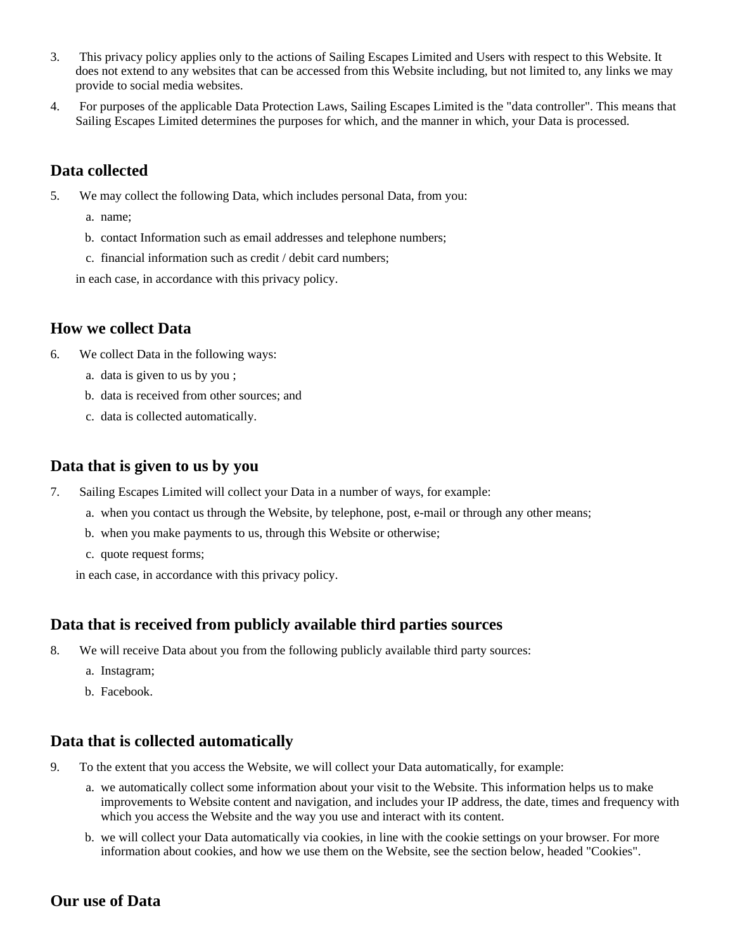- 3. This privacy policy applies only to the actions of Sailing Escapes Limited and Users with respect to this Website. It does not extend to any websites that can be accessed from this Website including, but not limited to, any links we may provide to social media websites.
- 4. For purposes of the applicable Data Protection Laws, Sailing Escapes Limited is the "data controller". This means that Sailing Escapes Limited determines the purposes for which, and the manner in which, your Data is processed.

## **Data collected**

- 5. We may collect the following Data, which includes personal Data, from you:
	- a. name;
	- b. contact Information such as email addresses and telephone numbers;
	- c. financial information such as credit / debit card numbers;

in each case, in accordance with this privacy policy.

### **How we collect Data**

- 6. We collect Data in the following ways:
	- a. data is given to us by you ;
	- b. data is received from other sources; and
	- c. data is collected automatically.

#### **Data that is given to us by you**

- 7. Sailing Escapes Limited will collect your Data in a number of ways, for example:
	- a. when you contact us through the Website, by telephone, post, e-mail or through any other means;
	- b. when you make payments to us, through this Website or otherwise;
	- c. quote request forms;

in each case, in accordance with this privacy policy.

#### **Data that is received from publicly available third parties sources**

- 8. We will receive Data about you from the following publicly available third party sources:
	- a. Instagram;
	- b. Facebook.

#### **Data that is collected automatically**

- 9. To the extent that you access the Website, we will collect your Data automatically, for example:
	- a. we automatically collect some information about your visit to the Website. This information helps us to make improvements to Website content and navigation, and includes your IP address, the date, times and frequency with which you access the Website and the way you use and interact with its content.
	- b. we will collect your Data automatically via cookies, in line with the cookie settings on your browser. For more information about cookies, and how we use them on the Website, see the section below, headed "Cookies".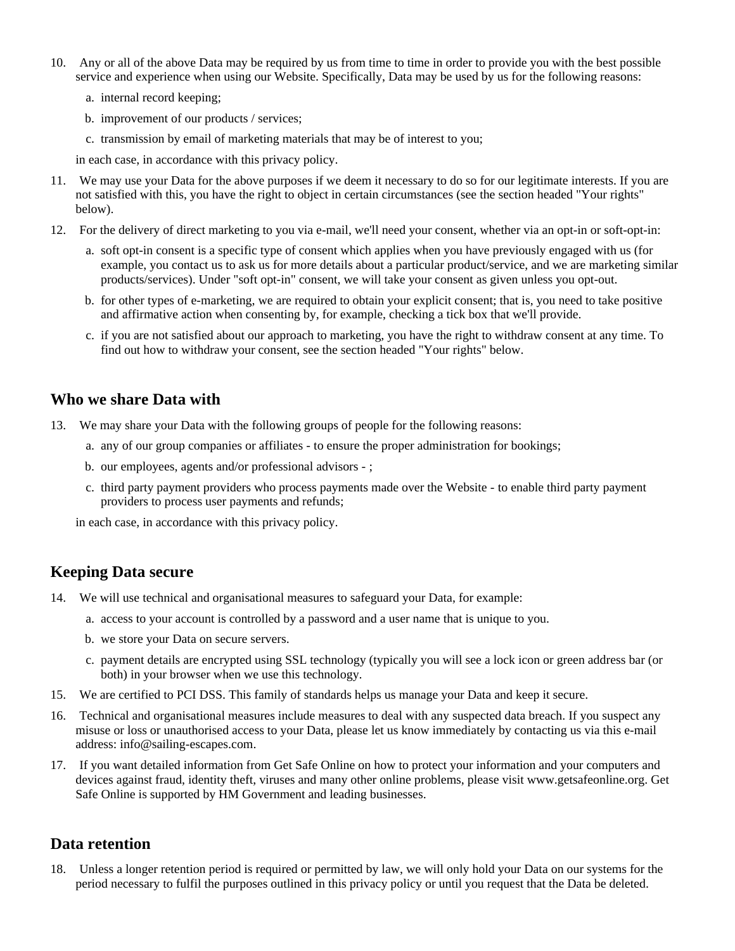- 10. Any or all of the above Data may be required by us from time to time in order to provide you with the best possible service and experience when using our Website. Specifically, Data may be used by us for the following reasons:
	- a. internal record keeping;
	- b. improvement of our products / services;
	- c. transmission by email of marketing materials that may be of interest to you;

in each case, in accordance with this privacy policy.

- 11. We may use your Data for the above purposes if we deem it necessary to do so for our legitimate interests. If you are not satisfied with this, you have the right to object in certain circumstances (see the section headed "Your rights" below).
- 12. For the delivery of direct marketing to you via e-mail, we'll need your consent, whether via an opt-in or soft-opt-in:
	- a. soft opt-in consent is a specific type of consent which applies when you have previously engaged with us (for example, you contact us to ask us for more details about a particular product/service, and we are marketing similar products/services). Under "soft opt-in" consent, we will take your consent as given unless you opt-out.
	- b. for other types of e-marketing, we are required to obtain your explicit consent; that is, you need to take positive and affirmative action when consenting by, for example, checking a tick box that we'll provide.
	- c. if you are not satisfied about our approach to marketing, you have the right to withdraw consent at any time. To find out how to withdraw your consent, see the section headed "Your rights" below.

### **Who we share Data with**

- 13. We may share your Data with the following groups of people for the following reasons:
	- a. any of our group companies or affiliates to ensure the proper administration for bookings;
	- b. our employees, agents and/or professional advisors ;
	- c. third party payment providers who process payments made over the Website to enable third party payment providers to process user payments and refunds;

in each case, in accordance with this privacy policy.

## **Keeping Data secure**

- 14. We will use technical and organisational measures to safeguard your Data, for example:
	- a. access to your account is controlled by a password and a user name that is unique to you.
	- b. we store your Data on secure servers.
	- c. payment details are encrypted using SSL technology (typically you will see a lock icon or green address bar (or both) in your browser when we use this technology.
- 15. We are certified to PCI DSS. This family of standards helps us manage your Data and keep it secure.
- 16. Technical and organisational measures include measures to deal with any suspected data breach. If you suspect any misuse or loss or unauthorised access to your Data, please let us know immediately by contacting us via this e-mail address: info@sailing-escapes.com.
- 17. If you want detailed information from Get Safe Online on how to protect your information and your computers and devices against fraud, identity theft, viruses and many other online problems, please visit www.getsafeonline.org. Get Safe Online is supported by HM Government and leading businesses.

## **Data retention**

18. Unless a longer retention period is required or permitted by law, we will only hold your Data on our systems for the period necessary to fulfil the purposes outlined in this privacy policy or until you request that the Data be deleted.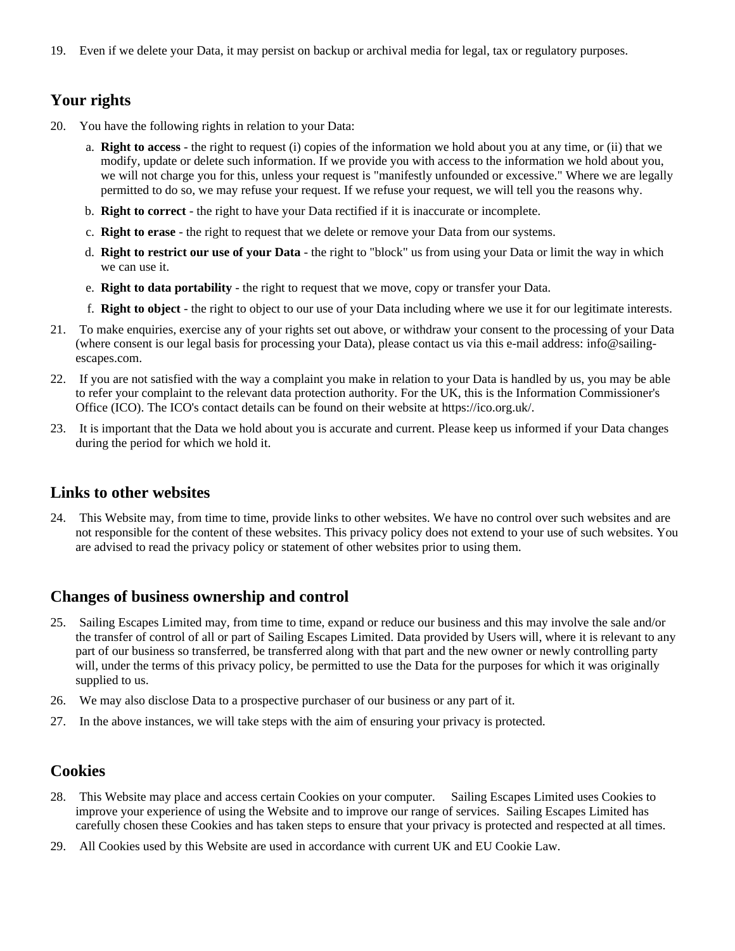19. Even if we delete your Data, it may persist on backup or archival media for legal, tax or regulatory purposes.

## **Your rights**

- 20. You have the following rights in relation to your Data:
	- a. **Right to access** the right to request (i) copies of the information we hold about you at any time, or (ii) that we modify, update or delete such information. If we provide you with access to the information we hold about you, we will not charge you for this, unless your request is "manifestly unfounded or excessive." Where we are legally permitted to do so, we may refuse your request. If we refuse your request, we will tell you the reasons why.
	- b. **Right to correct** the right to have your Data rectified if it is inaccurate or incomplete.
	- c. **Right to erase** the right to request that we delete or remove your Data from our systems.
	- d. **Right to restrict our use of your Data** the right to "block" us from using your Data or limit the way in which we can use it.
	- e. **Right to data portability** the right to request that we move, copy or transfer your Data.
	- f. **Right to object** the right to object to our use of your Data including where we use it for our legitimate interests.
- 21. To make enquiries, exercise any of your rights set out above, or withdraw your consent to the processing of your Data (where consent is our legal basis for processing your Data), please contact us via this e-mail address: info@sailingescapes.com.
- 22. If you are not satisfied with the way a complaint you make in relation to your Data is handled by us, you may be able to refer your complaint to the relevant data protection authority. For the UK, this is the Information Commissioner's Office (ICO). The ICO's contact details can be found on their website at https://ico.org.uk/.
- 23. It is important that the Data we hold about you is accurate and current. Please keep us informed if your Data changes during the period for which we hold it.

#### **Links to other websites**

24. This Website may, from time to time, provide links to other websites. We have no control over such websites and are not responsible for the content of these websites. This privacy policy does not extend to your use of such websites. You are advised to read the privacy policy or statement of other websites prior to using them.

#### **Changes of business ownership and control**

- 25. Sailing Escapes Limited may, from time to time, expand or reduce our business and this may involve the sale and/or the transfer of control of all or part of Sailing Escapes Limited. Data provided by Users will, where it is relevant to any part of our business so transferred, be transferred along with that part and the new owner or newly controlling party will, under the terms of this privacy policy, be permitted to use the Data for the purposes for which it was originally supplied to us.
- 26. We may also disclose Data to a prospective purchaser of our business or any part of it.
- 27. In the above instances, we will take steps with the aim of ensuring your privacy is protected.

#### **Cookies**

- 28. This Website may place and access certain Cookies on your computer. Sailing Escapes Limited uses Cookies to improve your experience of using the Website and to improve our range of services. Sailing Escapes Limited has carefully chosen these Cookies and has taken steps to ensure that your privacy is protected and respected at all times.
- 29. All Cookies used by this Website are used in accordance with current UK and EU Cookie Law.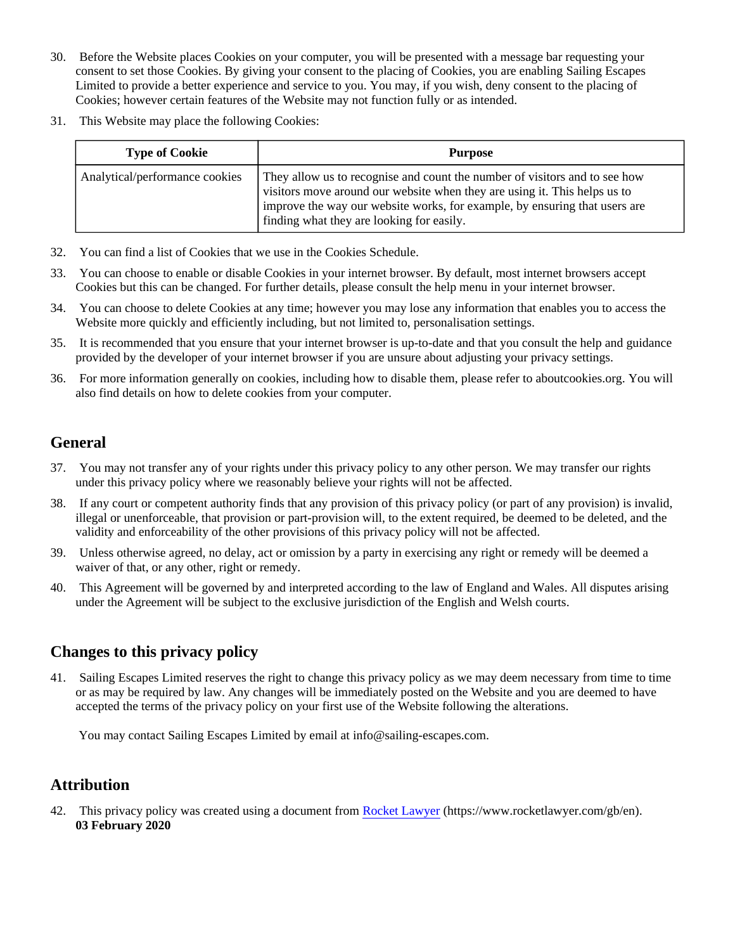- 30. Before the Website places Cookies on your computer, you will be presented with a message bar requesting your consent to set those Cookies. By giving your consent to the placing of Cookies, you are enabling Sailing Escapes Limited to provide a better experience and service to you. You may, if you wish, deny consent to the placing of Cookies; however certain features of the Website may not function fully or as intended.
- 31. This Website may place the following Cookies:

| <b>Type of Cookie</b>          | Purpose                                                                                                                                                                                                                                                                            |
|--------------------------------|------------------------------------------------------------------------------------------------------------------------------------------------------------------------------------------------------------------------------------------------------------------------------------|
| Analytical/performance cookies | They allow us to recognise and count the number of visitors and to see how<br>visitors move around our website when they are using it. This helps us to<br>improve the way our website works, for example, by ensuring that users are<br>finding what they are looking for easily. |

- 32. You can find a list of Cookies that we use in the Cookies Schedule.
- 33. You can choose to enable or disable Cookies in your internet browser. By default, most internet browsers accept Cookies but this can be changed. For further details, please consult the help menu in your internet browser.
- 34. You can choose to delete Cookies at any time; however you may lose any information that enables you to access the Website more quickly and efficiently including, but not limited to, personalisation settings.
- 35. It is recommended that you ensure that your internet browser is up-to-date and that you consult the help and guidance provided by the developer of your internet browser if you are unsure about adjusting your privacy settings.
- 36. For more information generally on cookies, including how to disable them, please refer to aboutcookies.org. You will also find details on how to delete cookies from your computer.

# **General**

- 37. You may not transfer any of your rights under this privacy policy to any other person. We may transfer our rights under this privacy policy where we reasonably believe your rights will not be affected.
- 38. If any court or competent authority finds that any provision of this privacy policy (or part of any provision) is invalid, illegal or unenforceable, that provision or part-provision will, to the extent required, be deemed to be deleted, and the validity and enforceability of the other provisions of this privacy policy will not be affected.
- 39. Unless otherwise agreed, no delay, act or omission by a party in exercising any right or remedy will be deemed a waiver of that, or any other, right or remedy.
- 40. This Agreement will be governed by and interpreted according to the law of England and Wales. All disputes arising under the Agreement will be subject to the exclusive jurisdiction of the English and Welsh courts.

# **Changes to this privacy policy**

41. Sailing Escapes Limited reserves the right to change this privacy policy as we may deem necessary from time to time or as may be required by law. Any changes will be immediately posted on the Website and you are deemed to have accepted the terms of the privacy policy on your first use of the Website following the alterations.

You may contact Sailing Escapes Limited by email at info@sailing-escapes.com.

# **Attribution**

42. This privacy policy was created using a document from [Rocket Lawyer](https://www.rocketlawyer.com/gb/en/) (https://www.rocketlawyer.com/gb/en). **03 February 2020**